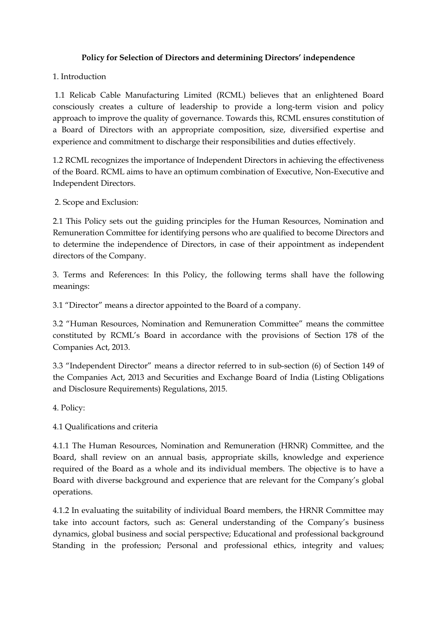## **Policy for Selection of Directors and determining Directors' independence**

## 1. Introduction

1.1 Relicab Cable Manufacturing Limited (RCML) believes that an enlightened Board consciously creates a culture of leadership to provide a long-term vision and policy approach to improve the quality of governance. Towards this, RCML ensures constitution of a Board of Directors with an appropriate composition, size, diversified expertise and experience and commitment to discharge their responsibilities and duties effectively.

1.2 RCML recognizes the importance of Independent Directors in achieving the effectiveness of the Board. RCML aims to have an optimum combination of Executive, Non-Executive and Independent Directors.

2. Scope and Exclusion:

2.1 This Policy sets out the guiding principles for the Human Resources, Nomination and Remuneration Committee for identifying persons who are qualified to become Directors and to determine the independence of Directors, in case of their appointment as independent directors of the Company.

3. Terms and References: In this Policy, the following terms shall have the following meanings:

3.1 "Director" means a director appointed to the Board of a company.

3.2 "Human Resources, Nomination and Remuneration Committee" means the committee constituted by RCML's Board in accordance with the provisions of Section 178 of the Companies Act, 2013.

3.3 "Independent Director" means a director referred to in sub-section (6) of Section 149 of the Companies Act, 2013 and Securities and Exchange Board of India (Listing Obligations and Disclosure Requirements) Regulations, 2015.

4. Policy:

4.1 Qualifications and criteria

4.1.1 The Human Resources, Nomination and Remuneration (HRNR) Committee, and the Board, shall review on an annual basis, appropriate skills, knowledge and experience required of the Board as a whole and its individual members. The objective is to have a Board with diverse background and experience that are relevant for the Company's global operations.

4.1.2 In evaluating the suitability of individual Board members, the HRNR Committee may take into account factors, such as: General understanding of the Company's business dynamics, global business and social perspective; Educational and professional background Standing in the profession; Personal and professional ethics, integrity and values;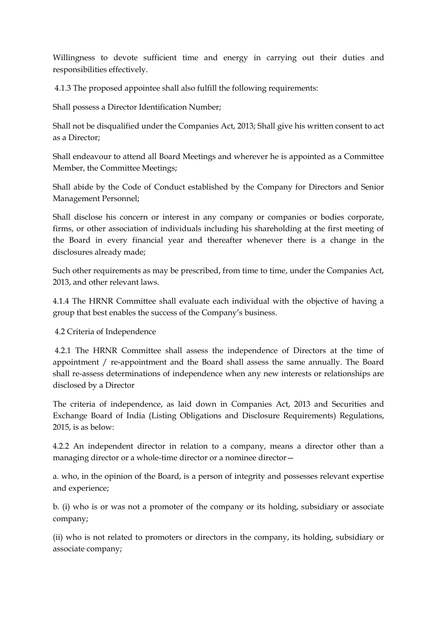Willingness to devote sufficient time and energy in carrying out their duties and responsibilities effectively.

4.1.3 The proposed appointee shall also fulfill the following requirements:

Shall possess a Director Identification Number;

Shall not be disqualified under the Companies Act, 2013; Shall give his written consent to act as a Director;

Shall endeavour to attend all Board Meetings and wherever he is appointed as a Committee Member, the Committee Meetings;

Shall abide by the Code of Conduct established by the Company for Directors and Senior Management Personnel;

Shall disclose his concern or interest in any company or companies or bodies corporate, firms, or other association of individuals including his shareholding at the first meeting of the Board in every financial year and thereafter whenever there is a change in the disclosures already made;

Such other requirements as may be prescribed, from time to time, under the Companies Act, 2013, and other relevant laws.

4.1.4 The HRNR Committee shall evaluate each individual with the objective of having a group that best enables the success of the Company's business.

4.2 Criteria of Independence

4.2.1 The HRNR Committee shall assess the independence of Directors at the time of appointment / re-appointment and the Board shall assess the same annually. The Board shall re-assess determinations of independence when any new interests or relationships are disclosed by a Director

The criteria of independence, as laid down in Companies Act, 2013 and Securities and Exchange Board of India (Listing Obligations and Disclosure Requirements) Regulations, 2015, is as below:

4.2.2 An independent director in relation to a company, means a director other than a managing director or a whole-time director or a nominee director—

a. who, in the opinion of the Board, is a person of integrity and possesses relevant expertise and experience;

b. (i) who is or was not a promoter of the company or its holding, subsidiary or associate company;

(ii) who is not related to promoters or directors in the company, its holding, subsidiary or associate company;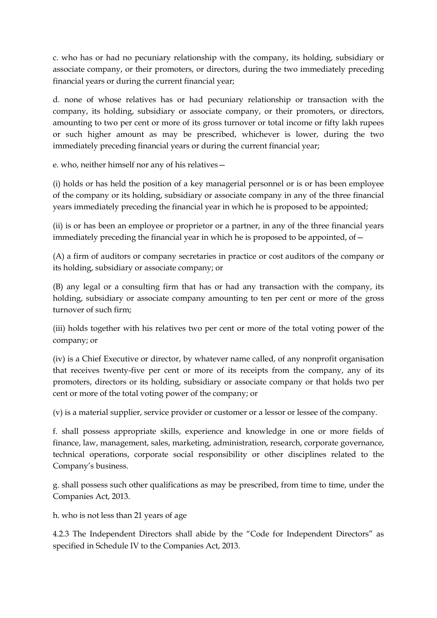c. who has or had no pecuniary relationship with the company, its holding, subsidiary or associate company, or their promoters, or directors, during the two immediately preceding financial years or during the current financial year;

d. none of whose relatives has or had pecuniary relationship or transaction with the company, its holding, subsidiary or associate company, or their promoters, or directors, amounting to two per cent or more of its gross turnover or total income or fifty lakh rupees or such higher amount as may be prescribed, whichever is lower, during the two immediately preceding financial years or during the current financial year;

e. who, neither himself nor any of his relatives—

(i) holds or has held the position of a key managerial personnel or is or has been employee of the company or its holding, subsidiary or associate company in any of the three financial years immediately preceding the financial year in which he is proposed to be appointed;

(ii) is or has been an employee or proprietor or a partner, in any of the three financial years immediately preceding the financial year in which he is proposed to be appointed, of  $-$ 

(A) a firm of auditors or company secretaries in practice or cost auditors of the company or its holding, subsidiary or associate company; or

(B) any legal or a consulting firm that has or had any transaction with the company, its holding, subsidiary or associate company amounting to ten per cent or more of the gross turnover of such firm;

(iii) holds together with his relatives two per cent or more of the total voting power of the company; or

(iv) is a Chief Executive or director, by whatever name called, of any nonprofit organisation that receives twenty-five per cent or more of its receipts from the company, any of its promoters, directors or its holding, subsidiary or associate company or that holds two per cent or more of the total voting power of the company; or

(v) is a material supplier, service provider or customer or a lessor or lessee of the company.

f. shall possess appropriate skills, experience and knowledge in one or more fields of finance, law, management, sales, marketing, administration, research, corporate governance, technical operations, corporate social responsibility or other disciplines related to the Company's business.

g. shall possess such other qualifications as may be prescribed, from time to time, under the Companies Act, 2013.

h. who is not less than 21 years of age

4.2.3 The Independent Directors shall abide by the "Code for Independent Directors" as specified in Schedule IV to the Companies Act, 2013.